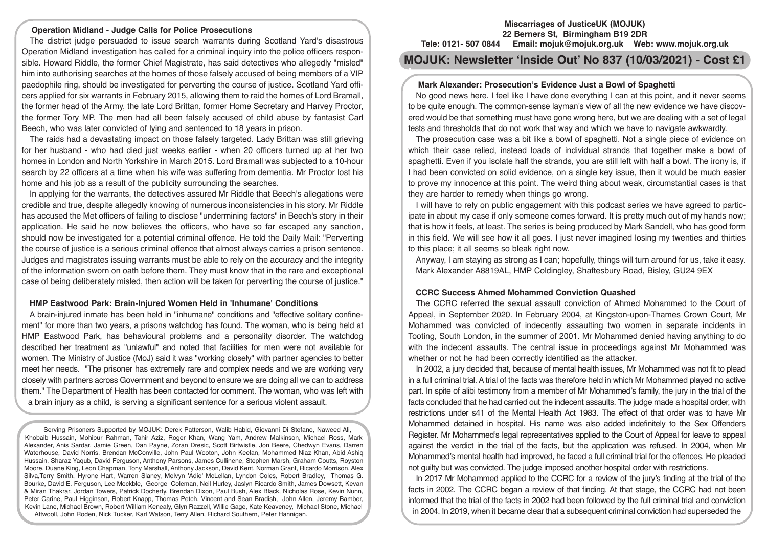#### **Operation Midland - Judge Calls for Police Prosecutions**

The district judge persuaded to issue search warrants during Scotland Yard's disastrous Operation Midland investigation has called for a criminal inquiry into the police officers responsible. Howard Riddle, the former Chief Magistrate, has said detectives who allegedly "misled" him into authorising searches at the homes of those falsely accused of being members of a VIP paedophile ring, should be investigated for perverting the course of justice. Scotland Yard officers applied for six warrants in February 2015, allowing them to raid the homes of Lord Bramall, the former head of the Army, the late Lord Brittan, former Home Secretary and Harvey Proctor, the former Tory MP. The men had all been falsely accused of child abuse by fantasist Carl Beech, who was later convicted of lying and sentenced to 18 years in prison.

The raids had a devastating impact on those falsely targeted. Lady Brittan was still grieving for her husband - who had died just weeks earlier - when 20 officers turned up at her two homes in London and North Yorkshire in March 2015. Lord Bramall was subjected to a 10-hour search by 22 officers at a time when his wife was suffering from dementia. Mr Proctor lost his home and his job as a result of the publicity surrounding the searches.

In applying for the warrants, the detectives assured Mr Riddle that Beech's allegations were credible and true, despite allegedly knowing of numerous inconsistencies in his story. Mr Riddle has accused the Met officers of failing to disclose "undermining factors" in Beech's story in their application. He said he now believes the officers, who have so far escaped any sanction, should now be investigated for a potential criminal offence. He told the Daily Mail: "Perverting the course of justice is a serious criminal offence that almost always carries a prison sentence. Judges and magistrates issuing warrants must be able to rely on the accuracy and the integrity of the information sworn on oath before them. They must know that in the rare and exceptional case of being deliberately misled, then action will be taken for perverting the course of justice."

#### **HMP Eastwood Park: Brain-Injured Women Held in 'Inhumane' Conditions**

A brain-injured inmate has been held in "inhumane" conditions and "effective solitary confinement" for more than two years, a prisons watchdog has found. The woman, who is being held at HMP Eastwood Park, has behavioural problems and a personality disorder. The watchdog described her treatment as "unlawful" and noted that facilities for men were not available for women. The Ministry of Justice (MoJ) said it was "working closely" with partner agencies to better meet her needs. "The prisoner has extremely rare and complex needs and we are working very closely with partners across Government and beyond to ensure we are doing all we can to address them." The Department of Health has been contacted for comment. The woman, who was left with a brain injury as a child, is serving a significant sentence for a serious violent assault.

Serving Prisoners Supported by MOJUK: Derek Patterson, Walib Habid, Giovanni Di Stefano, Naweed Ali, Khobaib Hussain, Mohibur Rahman, Tahir Aziz, Roger Khan, Wang Yam, Andrew Malkinson, Michael Ross, Mark Alexander, Anis Sardar, Jamie Green, Dan Payne, Zoran Dresic, Scott Birtwistle, Jon Beere, Chedwyn Evans, Darren Waterhouse, David Norris, Brendan McConville, John Paul Wooton, John Keelan, Mohammed Niaz Khan, Abid Ashiq Hussain, Sharaz Yaqub, David Ferguson, Anthony Parsons, James Cullinene, Stephen Marsh, Graham Coutts, Royston Moore, Duane King, Leon Chapman, Tony Marshall, Anthony Jackson, David Kent, Norman Grant, Ricardo Morrison, Alex Silva,Terry Smith, Hyrone Hart, Warren Slaney, Melvyn 'Adie' McLellan, Lyndon Coles, Robert Bradley, Thomas G. Bourke, David E. Ferguson, Lee Mockble, George Coleman, Neil Hurley, Jaslyn Ricardo Smith, James Dowsett, Kevan & Miran Thakrar, Jordan Towers, Patrick Docherty, Brendan Dixon, Paul Bush, Alex Black, Nicholas Rose, Kevin Nunn, Peter Carine, Paul Higginson, Robert Knapp, Thomas Petch, Vincent and Sean Bradish, John Allen, Jeremy Bamber, Kevin Lane, Michael Brown, Robert William Kenealy, Glyn Razzell, Willie Gage, Kate Keaveney, Michael Stone, Michael Attwooll, John Roden, Nick Tucker, Karl Watson, Terry Allen, Richard Southern, Peter Hannigan.

## **Miscarriages of JusticeUK (MOJUK) 22 Berners St, Birmingham B19 2DR Tele: 0121- 507 0844 Email: mojuk@mojuk.org.uk Web: www.mojuk.org.uk**

# **MOJUK: Newsletter 'Inside Out' No 837 (10/03/2021) - Cost £1**

# **Mark Alexander: Prosecution's Evidence Just a Bowl of Spaghetti**

No good news here. I feel like I have done everything I can at this point, and it never seems to be quite enough. The common-sense layman's view of all the new evidence we have discovered would be that something must have gone wrong here, but we are dealing with a set of legal tests and thresholds that do not work that way and which we have to navigate awkwardly.

The prosecution case was a bit like a bowl of spaghetti. Not a single piece of evidence on which their case relied, instead loads of individual strands that together make a bowl of spaghetti. Even if you isolate half the strands, you are still left with half a bowl. The irony is, if I had been convicted on solid evidence, on a single key issue, then it would be much easier to prove my innocence at this point. The weird thing about weak, circumstantial cases is that they are harder to remedy when things go wrong.

I will have to rely on public engagement with this podcast series we have agreed to participate in about my case if only someone comes forward. It is pretty much out of my hands now; that is how it feels, at least. The series is being produced by Mark Sandell, who has good form in this field. We will see how it all goes. I just never imagined losing my twenties and thirties to this place; it all seems so bleak right now.

Anyway, I am staying as strong as I can; hopefully, things will turn around for us, take it easy. Mark Alexander A8819AL, HMP Coldingley, Shaftesbury Road, Bisley, GU24 9EX

# **CCRC Success Ahmed Mohammed Conviction Quashed**

The CCRC referred the sexual assault conviction of Ahmed Mohammed to the Court of Appeal, in September 2020. In February 2004, at Kingston-upon-Thames Crown Court, Mr Mohammed was convicted of indecently assaulting two women in separate incidents in Tooting, South London, in the summer of 2001. Mr Mohammed denied having anything to do with the indecent assaults. The central issue in proceedings against Mr Mohammed was whether or not he had been correctly identified as the attacker.

In 2002, a jury decided that, because of mental health issues, Mr Mohammed was not fit to plead in a full criminal trial. A trial of the facts was therefore held in which Mr Mohammed played no active part. In spite of alibi testimony from a member of Mr Mohammed's family, the jury in the trial of the facts concluded that he had carried out the indecent assaults. The judge made a hospital order, with restrictions under s41 of the Mental Health Act 1983. The effect of that order was to have Mr Mohammed detained in hospital. His name was also added indefinitely to the Sex Offenders Register. Mr Mohammed's legal representatives applied to the Court of Appeal for leave to appeal against the verdict in the trial of the facts, but the application was refused. In 2004, when Mr Mohammed's mental health had improved, he faced a full criminal trial for the offences. He pleaded not guilty but was convicted. The judge imposed another hospital order with restrictions.

In 2017 Mr Mohammed applied to the CCRC for a review of the jury's finding at the trial of the facts in 2002. The CCRC began a review of that finding. At that stage, the CCRC had not been informed that the trial of the facts in 2002 had been followed by the full criminal trial and conviction in 2004. In 2019, when it became clear that a subsequent criminal conviction had superseded the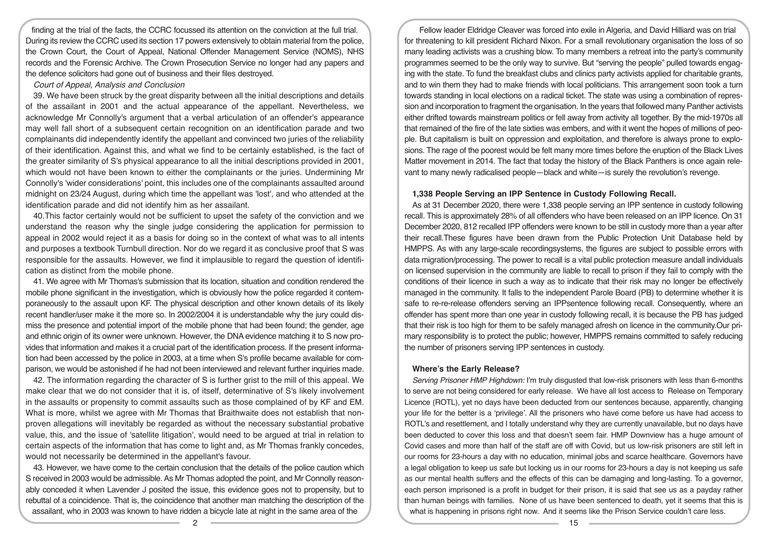finding at the trial of the facts, the CCRC focussed its attention on the conviction at the full trial. During its review the CCRC used its section 17 powers extensively to obtain material from the police, the Crown Court, the Court of Appeal, National Offender Management Service (NOMS), NHS records and the Forensic Archive. The Crown Prosecution Service no longer had any papers and the defence solicitors had gone out of business and their files destroyed.

#### *Court of Appeal, Analysis and Conclusion*

39. We have been struck by the great disparity between all the initial descriptions and details of the assailant in 2001 and the actual appearance of the appellant. Nevertheless, we acknowledge Mr Connolly's argument that a verbal articulation of an offender's appearance may well fall short of a subsequent certain recognition on an identification parade and two complainants did independently identify the appellant and convinced two juries of the reliability of their identification. Against this, and what we find to be certainly established, is the fact of the greater similarity of S's physical appearance to all the initial descriptions provided in 2001, which would not have been known to either the complainants or the juries. Undermining Mr Connolly's 'wider considerations' point, this includes one of the complainants assaulted around midnight on 23/24 August, during which time the appellant was 'lost', and who attended at the identification parade and did not identify him as her assailant.

40.This factor certainly would not be sufficient to upset the safety of the conviction and we understand the reason why the single judge considering the application for permission to appeal in 2002 would reject it as a basis for doing so in the context of what was to all intents and purposes a textbook Turnbull direction. Nor do we regard it as conclusive proof that S was responsible for the assaults. However, we find it implausible to regard the question of identification as distinct from the mobile phone.

41. We agree with Mr Thomas's submission that its location, situation and condition rendered the mobile phone significant in the investigation, which is obviously how the police regarded it contemporaneously to the assault upon KF. The physical description and other known details of its likely recent handler/user make it the more so. In 2002/2004 it is understandable why the jury could dismiss the presence and potential import of the mobile phone that had been found; the gender, age and ethnic origin of its owner were unknown. However, the DNA evidence matching it to S now provides that information and makes it a crucial part of the identification process. If the present information had been accessed by the police in 2003, at a time when S's profile became available for comparison, we would be astonished if he had not been interviewed and relevant further inquiries made.

42. The information regarding the character of S is further grist to the mill of this appeal. We make clear that we do not consider that it is, of itself, determinative of S's likely involvement in the assaults or propensity to commit assaults such as those complained of by KF and EM. What is more, whilst we agree with Mr Thomas that Braithwaite does not establish that nonproven allegations will inevitably be regarded as without the necessary substantial probative value, this, and the issue of 'satellite litigation', would need to be argued at trial in relation to certain aspects of the information that has come to light and, as Mr Thomas frankly concedes, would not necessarily be determined in the appellant's favour.

43. However, we have come to the certain conclusion that the details of the police caution which S received in 2003 would be admissible. As Mr Thomas adopted the point, and Mr Connolly reasonably conceded it when Lavender J posited the issue, this evidence goes not to propensity, but to rebuttal of a coincidence. That is, the coincidence that another man matching the description of the assailant, who in 2003 was known to have ridden a bicycle late at night in the same area of the

Fellow leader Eldridge Cleaver was forced into exile in Algeria, and David Hilliard was on trial for threatening to kill president Richard Nixon. For a small revolutionary organisation the loss of so many leading activists was a crushing blow. To many members a retreat into the party's community programmes seemed to be the only way to survive. But "serving the people" pulled towards engaging with the state. To fund the breakfast clubs and clinics party activists applied for charitable grants, and to win them they had to make friends with local politicians. This arrangement soon took a turn towards standing in local elections on a radical ticket. The state was using a combination of repression and incorporation to fragment the organisation. In the years that followed many Panther activists either drifted towards mainstream politics or fell away from activity all together. By the mid-1970s all that remained of the fire of the late sixties was embers, and with it went the hopes of millions of people. But capitalism is built on oppression and exploitation, and therefore is always prone to explosions. The rage of the poorest would be felt many more times before the eruption of the Black Lives Matter movement in 2014. The fact that today the history of the Black Panthers is once again relevant to many newly radicalised people—black and white—is surely the revolution's revenge.

#### **1,338 People Serving an IPP Sentence in Custody Following Recall.**

As at 31 December 2020, there were 1,338 people serving an IPP sentence in custody following recall. This is approximately 28% of all offenders who have been released on an IPP licence. On 31 December 2020, 812 recalled IPP offenders were known to be still in custody more than a year after their recall.These figures have been drawn from the Public Protection Unit Database held by HMPPS. As with any large-scale recordingsystems, the figures are subject to possible errors with data migration/processing. The power to recall is a vital public protection measure andall individuals on licensed supervision in the community are liable to recall to prison if they fail to comply with the conditions of their licence in such a way as to indicate that their risk may no longer be effectively managed in the community. It falls to the independent Parole Board (PB) to determine whether it is safe to re-re-release offenders serving an IPPsentence following recall. Consequently, where an offender has spent more than one year in custody following recall, it is because the PB has judged that their risk is too high for them to be safely managed afresh on licence in the community.Our primary responsibility is to protect the public; however, HMPPS remains committed to safely reducing the number of prisoners serving IPP sentences in custody.

#### **Where's the Early Release?**

*Serving Prisoner HMP Highdown:* I'm truly disgusted that low-risk prisoners with less than 6-months to serve are not being considered for early release. We have all lost access to Release on Temporary Licence (ROTL), yet no days have been deducted from our sentences because, apparently, changing your life for the better is a 'privilege'. All the prisoners who have come before us have had access to ROTL's and resettlement, and I totally understand why they are currently unavailable, but no days have been deducted to cover this loss and that doesn't seem fair. HMP Downview has a huge amount of Covid cases and more than half of the staff are off with Covid, but us low-risk prisoners are still left in our rooms for 23-hours a day with no education, minimal jobs and scarce healthcare. Governors have a legal obligation to keep us safe but locking us in our rooms for 23-hours a day is not keeping us safe as our mental health suffers and the effects of this can be damaging and long-lasting. To a governor, each person imprisoned is a profit in budget for their prison, it is said that see us as a payday rather than human beings with families. None of us have been sentenced to death, yet it seems that this is what is happening in prisons right now. And it seems like the Prison Service couldn't care less.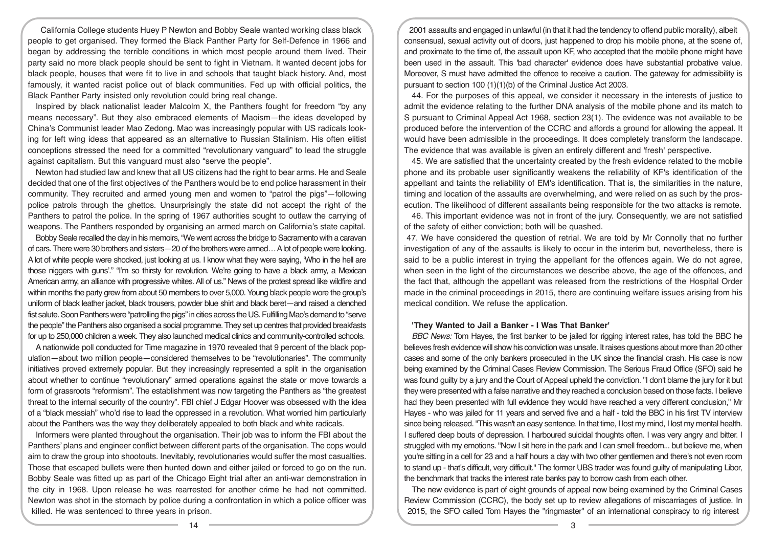California College students Huey P Newton and Bobby Seale wanted working class black people to get organised. They formed the Black Panther Party for Self-Defence in 1966 and began by addressing the terrible conditions in which most people around them lived. Their party said no more black people should be sent to fight in Vietnam. It wanted decent jobs for black people, houses that were fit to live in and schools that taught black history. And, most famously, it wanted racist police out of black communities. Fed up with official politics, the Black Panther Party insisted only revolution could bring real change.

Inspired by black nationalist leader Malcolm X, the Panthers fought for freedom "by any means necessary". But they also embraced elements of Maoism—the ideas developed by China's Communist leader Mao Zedong. Mao was increasingly popular with US radicals looking for left wing ideas that appeared as an alternative to Russian Stalinism. His often elitist conceptions stressed the need for a committed "revolutionary vanguard" to lead the struggle against capitalism. But this vanguard must also "serve the people".

Newton had studied law and knew that all US citizens had the right to bear arms. He and Seale decided that one of the first objectives of the Panthers would be to end police harassment in their community. They recruited and armed young men and women to "patrol the pigs"—following police patrols through the ghettos. Unsurprisingly the state did not accept the right of the Panthers to patrol the police. In the spring of 1967 authorities sought to outlaw the carrying of weapons. The Panthers responded by organising an armed march on California's state capital.

Bobby Seale recalled the day in his memoirs, "We went across the bridge to Sacramento with a caravan of cars. There were 30 brothers and sisters—20 of the brothers were armed… A lot of people were looking. A lot of white people were shocked, just looking at us. I know what they were saying, 'Who in the hell are those niggers with guns'." "I'm so thirsty for revolution. We're going to have a black army, a Mexican American army, an alliance with progressive whites. All of us." News of the protest spread like wildfire and within months the party grew from about 50 members to over 5,000. Young black people wore the group's uniform of black leather jacket, black trousers, powder blue shirt and black beret—and raised a clenched fist salute. Soon Panthers were "patrolling the pigs" in cities across the US. Fulfilling Mao's demand to "serve the people" the Panthers also organised a social programme. They set up centres that provided breakfasts for up to 250,000 children a week. They also launched medical clinics and community-controlled schools.

A nationwide poll conducted for Time magazine in 1970 revealed that 9 percent of the black population—about two million people—considered themselves to be "revolutionaries". The community initiatives proved extremely popular. But they increasingly represented a split in the organisation about whether to continue "revolutionary" armed operations against the state or move towards a form of grassroots "reformism". The establishment was now targeting the Panthers as "the greatest threat to the internal security of the country". FBI chief J Edgar Hoover was obsessed with the idea of a "black messiah" who'd rise to lead the oppressed in a revolution. What worried him particularly about the Panthers was the way they deliberately appealed to both black and white radicals.

Informers were planted throughout the organisation. Their job was to inform the FBI about the Panthers' plans and engineer conflict between different parts of the organisation. The cops would aim to draw the group into shootouts. Inevitably, revolutionaries would suffer the most casualties. Those that escaped bullets were then hunted down and either jailed or forced to go on the run. Bobby Seale was fitted up as part of the Chicago Eight trial after an anti-war demonstration in the city in 1968. Upon release he was rearrested for another crime he had not committed. Newton was shot in the stomach by police during a confrontation in which a police officer was killed. He was sentenced to three years in prison.

2001 assaults and engaged in unlawful (in that it had the tendency to offend public morality), albeit consensual, sexual activity out of doors, just happened to drop his mobile phone, at the scene of, and proximate to the time of, the assault upon KF, who accepted that the mobile phone might have been used in the assault. This 'bad character' evidence does have substantial probative value. Moreover, S must have admitted the offence to receive a caution. The gateway for admissibility is pursuant to section 100 (1)(1)(b) of the Criminal Justice Act 2003.

44. For the purposes of this appeal, we consider it necessary in the interests of justice to admit the evidence relating to the further DNA analysis of the mobile phone and its match to S pursuant to Criminal Appeal Act 1968, section 23(1). The evidence was not available to be produced before the intervention of the CCRC and affords a ground for allowing the appeal. It would have been admissible in the proceedings. It does completely transform the landscape. The evidence that was available is given an entirely different and 'fresh' perspective.

45. We are satisfied that the uncertainty created by the fresh evidence related to the mobile phone and its probable user significantly weakens the reliability of KF's identification of the appellant and taints the reliability of EM's identification. That is, the similarities in the nature, timing and location of the assaults are overwhelming, and were relied on as such by the prosecution. The likelihood of different assailants being responsible for the two attacks is remote.

46. This important evidence was not in front of the jury. Consequently, we are not satisfied of the safety of either conviction; both will be quashed.

47. We have considered the question of retrial. We are told by Mr Connolly that no further investigation of any of the assaults is likely to occur in the interim but, nevertheless, there is said to be a public interest in trying the appellant for the offences again. We do not agree, when seen in the light of the circumstances we describe above, the age of the offences, and the fact that, although the appellant was released from the restrictions of the Hospital Order made in the criminal proceedings in 2015, there are continuing welfare issues arising from his medical condition. We refuse the application.

# **'They Wanted to Jail a Banker - I Was That Banker'**

*BBC News:* Tom Hayes, the first banker to be jailed for rigging interest rates, has told the BBC he believes fresh evidence will show his conviction was unsafe. It raises questions about more than 20 other cases and some of the only bankers prosecuted in the UK since the financial crash. His case is now being examined by the Criminal Cases Review Commission. The Serious Fraud Office (SFO) said he was found guilty by a jury and the Court of Appeal upheld the conviction. "I don't blame the jury for it but they were presented with a false narrative and they reached a conclusion based on those facts. I believe had they been presented with full evidence they would have reached a very different conclusion," Mr Hayes - who was jailed for 11 years and served five and a half - told the BBC in his first TV interview since being released. "This wasn't an easy sentence. In that time, I lost my mind, I lost my mental health. I suffered deep bouts of depression. I harboured suicidal thoughts often. I was very angry and bitter. I struggled with my emotions. "Now I sit here in the park and I can smell freedom... but believe me, when you're sitting in a cell for 23 and a half hours a day with two other gentlemen and there's not even room to stand up - that's difficult, very difficult." The former UBS trader was found guilty of manipulating Libor, the benchmark that tracks the interest rate banks pay to borrow cash from each other.

The new evidence is part of eight grounds of appeal now being examined by the Criminal Cases Review Commission (CCRC), the body set up to review allegations of miscarriages of justice. In 2015, the SFO called Tom Hayes the "ringmaster" of an international conspiracy to rig interest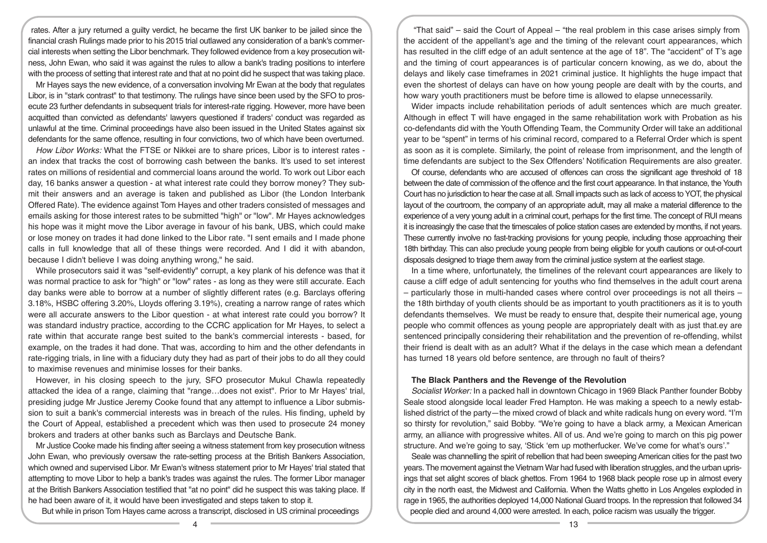rates. After a jury returned a guilty verdict, he became the first UK banker to be jailed since the financial crash Rulings made prior to his 2015 trial outlawed any consideration of a bank's commercial interests when setting the Libor benchmark. They followed evidence from a key prosecution witness, John Ewan, who said it was against the rules to allow a bank's trading positions to interfere with the process of setting that interest rate and that at no point did he suspect that was taking place.

Mr Hayes says the new evidence, of a conversation involving Mr Ewan at the body that regulates Libor, is in "stark contrast" to that testimony. The rulings have since been used by the SFO to prosecute 23 further defendants in subsequent trials for interest-rate rigging. However, more have been acquitted than convicted as defendants' lawyers questioned if traders' conduct was regarded as unlawful at the time. Criminal proceedings have also been issued in the United States against six defendants for the same offence, resulting in four convictions, two of which have been overturned.

*How Libor Works:* What the FTSE or Nikkei are to share prices, Libor is to interest rates an index that tracks the cost of borrowing cash between the banks. It's used to set interest rates on millions of residential and commercial loans around the world. To work out Libor each day, 16 banks answer a question - at what interest rate could they borrow money? They submit their answers and an average is taken and published as Libor (the London Interbank Offered Rate). The evidence against Tom Hayes and other traders consisted of messages and emails asking for those interest rates to be submitted "high" or "low". Mr Hayes acknowledges his hope was it might move the Libor average in favour of his bank, UBS, which could make or lose money on trades it had done linked to the Libor rate. "I sent emails and I made phone calls in full knowledge that all of these things were recorded. And I did it with abandon, because I didn't believe I was doing anything wrong," he said.

While prosecutors said it was "self-evidently" corrupt, a key plank of his defence was that it was normal practice to ask for "high" or "low" rates - as long as they were still accurate. Each day banks were able to borrow at a number of slightly different rates (e.g. Barclays offering 3.18%, HSBC offering 3.20%, Lloyds offering 3.19%), creating a narrow range of rates which were all accurate answers to the Libor question - at what interest rate could you borrow? It was standard industry practice, according to the CCRC application for Mr Hayes, to select a rate within that accurate range best suited to the bank's commercial interests - based, for example, on the trades it had done. That was, according to him and the other defendants in rate-rigging trials, in line with a fiduciary duty they had as part of their jobs to do all they could to maximise revenues and minimise losses for their banks.

However, in his closing speech to the jury, SFO prosecutor Mukul Chawla repeatedly attacked the idea of a range, claiming that "range…does not exist". Prior to Mr Hayes' trial, presiding judge Mr Justice Jeremy Cooke found that any attempt to influence a Libor submission to suit a bank's commercial interests was in breach of the rules. His finding, upheld by the Court of Appeal, established a precedent which was then used to prosecute 24 money brokers and traders at other banks such as Barclays and Deutsche Bank.

Mr Justice Cooke made his finding after seeing a witness statement from key prosecution witness John Ewan, who previously oversaw the rate-setting process at the British Bankers Association, which owned and supervised Libor. Mr Ewan's witness statement prior to Mr Hayes' trial stated that attempting to move Libor to help a bank's trades was against the rules. The former Libor manager at the British Bankers Association testified that "at no point" did he suspect this was taking place. If he had been aware of it, it would have been investigated and steps taken to stop it.

But while in prison Tom Hayes came across a transcript, disclosed in US criminal proceedings

"That said" – said the Court of Appeal – "the real problem in this case arises simply from the accident of the appellant's age and the timing of the relevant court appearances, which has resulted in the cliff edge of an adult sentence at the age of 18". The "accident" of T's age and the timing of court appearances is of particular concern knowing, as we do, about the delays and likely case timeframes in 2021 criminal justice. It highlights the huge impact that even the shortest of delays can have on how young people are dealt with by the courts, and how wary youth practitioners must be before time is allowed to elapse unnecessarily.

Wider impacts include rehabilitation periods of adult sentences which are much greater. Although in effect T will have engaged in the same rehabilitation work with Probation as his co-defendants did with the Youth Offending Team, the Community Order will take an additional year to be "spent" in terms of his criminal record, compared to a Referral Order which is spent as soon as it is complete. Similarly, the point of release from imprisonment, and the length of time defendants are subject to the Sex Offenders' Notification Requirements are also greater.

Of course, defendants who are accused of offences can cross the significant age threshold of 18 between the date of commission of the offence and the first court appearance. In that instance, the Youth Court has no jurisdiction to hear the case at all. Small impacts such as lack of access to YOT, the physical layout of the courtroom, the company of an appropriate adult, may all make a material difference to the experience of a very young adult in a criminal court, perhaps for the first time. The concept of RUI means it is increasingly the case that the timescales of police station cases are extended by months, if not years. These currently involve no fast-tracking provisions for young people, including those approaching their 18th birthday. This can also preclude young people from being eligible for youth cautions or out-of-court disposals designed to triage them away from the criminal justice system at the earliest stage.

In a time where, unfortunately, the timelines of the relevant court appearances are likely to cause a cliff edge of adult sentencing for youths who find themselves in the adult court arena – particularly those in multi-handed cases where control over proceedings is not all theirs – the 18th birthday of youth clients should be as important to youth practitioners as it is to youth defendants themselves. We must be ready to ensure that, despite their numerical age, young people who commit offences as young people are appropriately dealt with as just that.ey are sentenced principally considering their rehabilitation and the prevention of re-offending, whilst their friend is dealt with as an adult? What if the delays in the case which mean a defendant has turned 18 years old before sentence, are through no fault of theirs?

#### **The Black Panthers and the Revenge of the Revolution**

*Socialist Worker:* In a packed hall in downtown Chicago in 1969 Black Panther founder Bobby Seale stood alongside local leader Fred Hampton. He was making a speech to a newly established district of the party—the mixed crowd of black and white radicals hung on every word. "I'm so thirsty for revolution," said Bobby. "We're going to have a black army, a Mexican American army, an alliance with progressive whites. All of us. And we're going to march on this pig power structure. And we're going to say, 'Stick 'em up motherfucker. We've come for what's ours'."

Seale was channelling the spirit of rebellion that had been sweeping American cities for the past two years. The movement against the Vietnam War had fused with liberation struggles, and the urban uprisings that set alight scores of black ghettos. From 1964 to 1968 black people rose up in almost every city in the north east, the Midwest and California. When the Watts ghetto in Los Angeles exploded in rage in 1965, the authorities deployed 14,000 National Guard troops. In the repression that followed 34 people died and around 4,000 were arrested. In each, police racism was usually the trigger.

4 <del>13 13</del>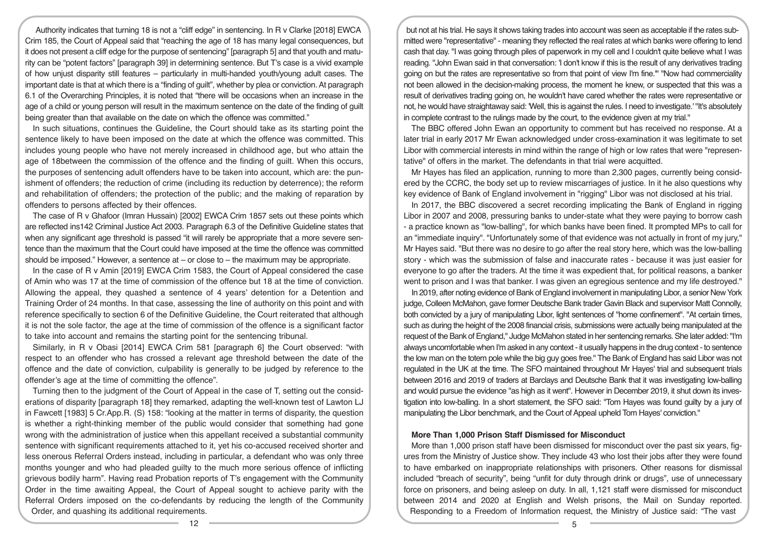Authority indicates that turning 18 is not a "cliff edge" in sentencing. In R v Clarke [2018] EWCA Crim 185, the Court of Appeal said that "reaching the age of 18 has many legal consequences, but it does not present a cliff edge for the purpose of sentencing" [paragraph 5] and that youth and maturity can be "potent factors" [paragraph 39] in determining sentence. But T's case is a vivid example of how unjust disparity still features – particularly in multi-handed youth/young adult cases. The important date is that at which there is a "finding of guilt", whether by plea or conviction. At paragraph 6.1 of the Overarching Principles, it is noted that "there will be occasions when an increase in the age of a child or young person will result in the maximum sentence on the date of the finding of guilt being greater than that available on the date on which the offence was committed."

In such situations, continues the Guideline, the Court should take as its starting point the sentence likely to have been imposed on the date at which the offence was committed. This includes young people who have not merely increased in childhood age, but who attain the age of 18between the commission of the offence and the finding of guilt. When this occurs, the purposes of sentencing adult offenders have to be taken into account, which are: the punishment of offenders; the reduction of crime (including its reduction by deterrence); the reform and rehabilitation of offenders; the protection of the public; and the making of reparation by offenders to persons affected by their offences.

The case of R v Ghafoor (Imran Hussain) [2002] EWCA Crim 1857 sets out these points which are reflected ins142 Criminal Justice Act 2003. Paragraph 6.3 of the Definitive Guideline states that when any significant age threshold is passed "it will rarely be appropriate that a more severe sentence than the maximum that the Court could have imposed at the time the offence was committed should be imposed." However, a sentence at – or close to – the maximum may be appropriate.

In the case of R v Amin [2019] EWCA Crim 1583, the Court of Appeal considered the case of Amin who was 17 at the time of commission of the offence but 18 at the time of conviction. Allowing the appeal, they quashed a sentence of 4 years' detention for a Detention and Training Order of 24 months. In that case, assessing the line of authority on this point and with reference specifically to section 6 of the Definitive Guideline, the Court reiterated that although it is not the sole factor, the age at the time of commission of the offence is a significant factor to take into account and remains the starting point for the sentencing tribunal.

Similarly, in R v Obasi [2014] EWCA Crim 581 [paragraph 6] the Court observed: "with respect to an offender who has crossed a relevant age threshold between the date of the offence and the date of conviction, culpability is generally to be judged by reference to the offender's age at the time of committing the offence".

Turning then to the judgment of the Court of Appeal in the case of T, setting out the considerations of disparity [paragraph 18] they remarked, adapting the well-known test of Lawton LJ in Fawcett [1983] 5 Cr.App.R. (S) 158: "looking at the matter in terms of disparity, the question is whether a right-thinking member of the public would consider that something had gone wrong with the administration of justice when this appellant received a substantial community sentence with significant requirements attached to it, yet his co-accused received shorter and less onerous Referral Orders instead, including in particular, a defendant who was only three months younger and who had pleaded guilty to the much more serious offence of inflicting grievous bodily harm". Having read Probation reports of T's engagement with the Community Order in the time awaiting Appeal, the Court of Appeal sought to achieve parity with the Referral Orders imposed on the co-defendants by reducing the length of the Community Order, and quashing its additional requirements.

but not at his trial. He says it shows taking trades into account was seen as acceptable if the rates submitted were "representative" - meaning they reflected the real rates at which banks were offering to lend cash that day. "I was going through piles of paperwork in my cell and I couldn't quite believe what I was reading. "John Ewan said in that conversation: 'I don't know if this is the result of any derivatives trading going on but the rates are representative so from that point of view I'm fine.'" "Now had commerciality not been allowed in the decision-making process, the moment he knew, or suspected that this was a result of derivatives trading going on, he wouldn't have cared whether the rates were representative or not, he would have straightaway said: 'Well, this is against the rules. I need to investigate.' "It's absolutely in complete contrast to the rulings made by the court, to the evidence given at my trial."

The BBC offered John Ewan an opportunity to comment but has received no response. At a later trial in early 2017 Mr Ewan acknowledged under cross-examination it was legitimate to set Libor with commercial interests in mind within the range of high or low rates that were "representative" of offers in the market. The defendants in that trial were acquitted.

Mr Hayes has filed an application, running to more than 2,300 pages, currently being considered by the CCRC, the body set up to review miscarriages of justice. In it he also questions why key evidence of Bank of England involvement in "rigging" Libor was not disclosed at his trial.

In 2017, the BBC discovered a secret recording implicating the Bank of England in rigging Libor in 2007 and 2008, pressuring banks to under-state what they were paying to borrow cash - a practice known as "low-balling", for which banks have been fined. It prompted MPs to call for an "immediate inquiry". "Unfortunately some of that evidence was not actually in front of my jury," Mr Hayes said. "But there was no desire to go after the real story here, which was the low-balling story - which was the submission of false and inaccurate rates - because it was just easier for everyone to go after the traders. At the time it was expedient that, for political reasons, a banker went to prison and I was that banker. I was given an egregious sentence and my life destroyed."

In 2019, after noting evidence of Bank of England involvement in manipulating Libor, a senior New York judge, Colleen McMahon, gave former Deutsche Bank trader Gavin Black and supervisor Matt Connolly, both convicted by a jury of manipulating Libor, light sentences of "home confinement". "At certain times, such as during the height of the 2008 financial crisis, submissions were actually being manipulated at the request of the Bank of England," Judge McMahon stated in her sentencing remarks. She later added: "I'm always uncomfortable when I'm asked in any context - it usually happens in the drug context - to sentence the low man on the totem pole while the big guy goes free." The Bank of England has said Libor was not regulated in the UK at the time. The SFO maintained throughout Mr Hayes' trial and subsequent trials between 2016 and 2019 of traders at Barclays and Deutsche Bank that it was investigating low-balling and would pursue the evidence "as high as it went". However in December 2019, it shut down its investigation into low-balling. In a short statement, the SFO said: "Tom Hayes was found guilty by a jury of manipulating the Libor benchmark, and the Court of Appeal upheld Tom Hayes' conviction."

#### **More Than 1,000 Prison Staff Dismissed for Misconduct**

More than 1,000 prison staff have been dismissed for misconduct over the past six years, figures from the Ministry of Justice show. They include 43 who lost their jobs after they were found to have embarked on inappropriate relationships with prisoners. Other reasons for dismissal included "breach of security", being "unfit for duty through drink or drugs", use of unnecessary force on prisoners, and being asleep on duty. In all, 1,121 staff were dismissed for misconduct between 2014 and 2020 at English and Welsh prisons, the Mail on Sunday reported. Responding to a Freedom of Information request, the Ministry of Justice said: "The vast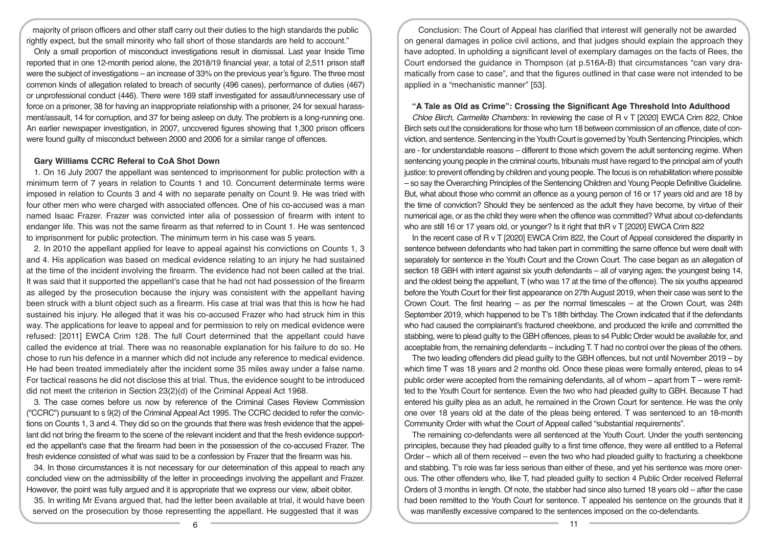majority of prison officers and other staff carry out their duties to the high standards the public rightly expect, but the small minority who fall short of those standards are held to account."

Only a small proportion of misconduct investigations result in dismissal. Last year Inside Time reported that in one 12-month period alone, the 2018/19 financial year, a total of 2,511 prison staff were the subject of investigations – an increase of 33% on the previous year's figure. The three most common kinds of allegation related to breach of security (496 cases), performance of duties (467) or unprofessional conduct (446). There were 169 staff investigated for assault/unnecessary use of force on a prisoner, 38 for having an inappropriate relationship with a prisoner, 24 for sexual harassment/assault, 14 for corruption, and 37 for being asleep on duty. The problem is a long-running one. An earlier newspaper investigation, in 2007, uncovered figures showing that 1,300 prison officers were found guilty of misconduct between 2000 and 2006 for a similar range of offences.

# **Gary Williams CCRC Referal to CoA Shot Down**

1. On 16 July 2007 the appellant was sentenced to imprisonment for public protection with a minimum term of 7 years in relation to Counts 1 and 10. Concurrent determinate terms were imposed in relation to Counts 3 and 4 with no separate penalty on Count 9. He was tried with four other men who were charged with associated offences. One of his co-accused was a man named Isaac Frazer. Frazer was convicted inter alia of possession of firearm with intent to endanger life. This was not the same firearm as that referred to in Count 1. He was sentenced to imprisonment for public protection. The minimum term in his case was 5 years.

2. In 2010 the appellant applied for leave to appeal against his convictions on Counts 1, 3 and 4. His application was based on medical evidence relating to an injury he had sustained at the time of the incident involving the firearm. The evidence had not been called at the trial. It was said that it supported the appellant's case that he had not had possession of the firearm as alleged by the prosecution because the injury was consistent with the appellant having been struck with a blunt object such as a firearm. His case at trial was that this is how he had sustained his injury. He alleged that it was his co-accused Frazer who had struck him in this way. The applications for leave to appeal and for permission to rely on medical evidence were refused: [2011] EWCA Crim 128. The full Court determined that the appellant could have called the evidence at trial. There was no reasonable explanation for his failure to do so. He chose to run his defence in a manner which did not include any reference to medical evidence. He had been treated immediately after the incident some 35 miles away under a false name. For tactical reasons he did not disclose this at trial. Thus, the evidence sought to be introduced did not meet the criterion in Section 23(2)(d) of the Criminal Appeal Act 1968.

3. The case comes before us now by reference of the Criminal Cases Review Commission ("CCRC") pursuant to s 9(2) of the Criminal Appeal Act 1995. The CCRC decided to refer the convictions on Counts 1, 3 and 4. They did so on the grounds that there was fresh evidence that the appellant did not bring the firearm to the scene of the relevant incident and that the fresh evidence supported the appellant's case that the firearm had been in the possession of the co-accused Frazer. The fresh evidence consisted of what was said to be a confession by Frazer that the firearm was his.

34. In those circumstances it is not necessary for our determination of this appeal to reach any concluded view on the admissibility of the letter in proceedings involving the appellant and Frazer. However, the point was fully argued and it is appropriate that we express our view, albeit obiter.

35. In writing Mr Evans argued that, had the letter been available at trial, it would have been served on the prosecution by those representing the appellant. He suggested that it was

Conclusion: The Court of Appeal has clarified that interest will generally not be awarded on general damages in police civil actions, and that judges should explain the approach they have adopted. In upholding a significant level of exemplary damages on the facts of Rees, the Court endorsed the guidance in Thompson (at p.516A-B) that circumstances "can vary dramatically from case to case", and that the figures outlined in that case were not intended to be applied in a "mechanistic manner" [53].

## **"A Tale as Old as Crime": Crossing the Significant Age Threshold Into Adulthood**

*Chloe Birch, Carmelite Chambers:* In reviewing the case of R v T [2020] EWCA Crim 822, Chloe Birch sets out the considerations for those who turn 18 between commission of an offence, date of conviction, and sentence. Sentencing in the Youth Court is governed by Youth Sentencing Principles, which are - for understandable reasons – different to those which govern the adult sentencing regime. When sentencing young people in the criminal courts, tribunals must have regard to the principal aim of youth justice: to prevent offending by children and young people. The focus is on rehabilitation where possible – so say the Overarching Principles of the Sentencing Children and Young People Definitive Guideline. But, what about those who commit an offence as a young person of 16 or 17 years old and are 18 by the time of conviction? Should they be sentenced as the adult they have become, by virtue of their numerical age, or as the child they were when the offence was committed? What about co-defendants who are still 16 or 17 years old, or younger? Is it right that thR v T [2020] EWCA Crim 822

In the recent case of R v T [2020] EWCA Crim 822, the Court of Appeal considered the disparity in sentence between defendants who had taken part in committing the same offence but were dealt with separately for sentence in the Youth Court and the Crown Court. The case began as an allegation of section 18 GBH with intent against six youth defendants – all of varying ages: the youngest being 14, and the oldest being the appellant, T (who was 17 at the time of the offence). The six youths appeared before the Youth Court for their first appearance on 27th August 2019, when their case was sent to the Crown Court. The first hearing – as per the normal timescales – at the Crown Court, was 24th September 2019, which happened to be T's 18th birthday. The Crown indicated that if the defendants who had caused the complainant's fractured cheekbone, and produced the knife and committed the stabbing, were to plead guilty to the GBH offences, pleas to s4 Public Order would be available for, and acceptable from, the remaining defendants – including T. T had no control over the pleas of the others.

The two leading offenders did plead guilty to the GBH offences, but not until November 2019 – by which time T was 18 years and 2 months old. Once these pleas were formally entered, pleas to s4 public order were accepted from the remaining defendants, all of whom – apart from T – were remitted to the Youth Court for sentence. Even the two who had pleaded guilty to GBH. Because T had entered his guilty plea as an adult, he remained in the Crown Court for sentence. He was the only one over 18 years old at the date of the pleas being entered. T was sentenced to an 18-month Community Order with what the Court of Appeal called "substantial requirements".

The remaining co-defendants were all sentenced at the Youth Court. Under the youth sentencing principles, because they had pleaded guilty to a first time offence, they were all entitled to a Referral Order – which all of them received – even the two who had pleaded guilty to fracturing a cheekbone and stabbing. T's role was far less serious than either of these, and yet his sentence was more onerous. The other offenders who, like T, had pleaded guilty to section 4 Public Order received Referral Orders of 3 months in length. Of note, the stabber had since also turned 18 years old – after the case had been remitted to the Youth Court for sentence. T appealed his sentence on the grounds that it was manifestly excessive compared to the sentences imposed on the co-defendants.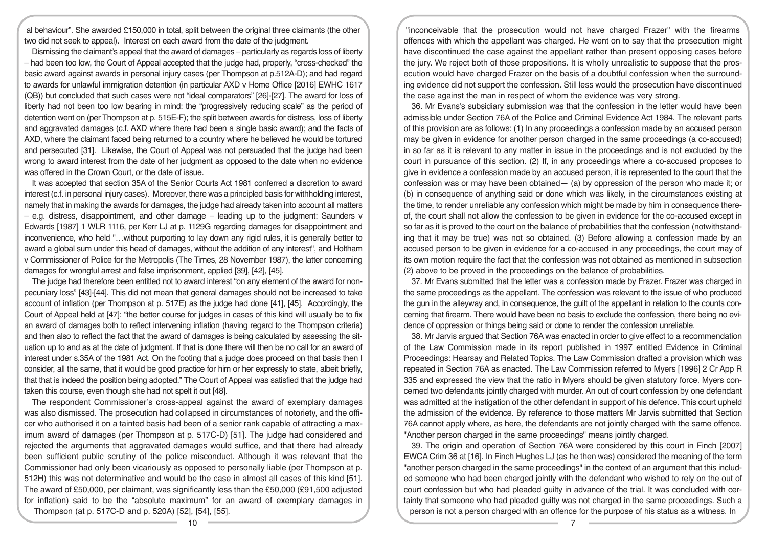al behaviour". She awarded £150,000 in total, split between the original three claimants (the other two did not seek to appeal). Interest on each award from the date of the judgment.

Dismissing the claimant's appeal that the award of damages – particularly as regards loss of liberty – had been too low, the Court of Appeal accepted that the judge had, properly, "cross-checked" the basic award against awards in personal injury cases (per Thompson at p.512A-D); and had regard to awards for unlawful immigration detention (in particular AXD v Home Office [2016] EWHC 1617 (QB)) but concluded that such cases were not "ideal comparators" [26]-[27]. The award for loss of liberty had not been too low bearing in mind: the "progressively reducing scale" as the period of detention went on (per Thompson at p. 515E-F); the split between awards for distress, loss of liberty and aggravated damages (c.f. AXD where there had been a single basic award); and the facts of AXD, where the claimant faced being returned to a country where he believed he would be tortured and persecuted [31]. Likewise, the Court of Appeal was not persuaded that the judge had been wrong to award interest from the date of her judgment as opposed to the date when no evidence was offered in the Crown Court, or the date of issue.

It was accepted that section 35A of the Senior Courts Act 1981 conferred a discretion to award interest (c.f. in personal injury cases). Moreover, there was a principled basis for withholding interest, namely that in making the awards for damages, the judge had already taken into account all matters – e.g. distress, disappointment, and other damage – leading up to the judgment: Saunders v Edwards [1987] 1 WLR 1116, per Kerr LJ at p. 1129G regarding damages for disappointment and inconvenience, who held "…without purporting to lay down any rigid rules, it is generally better to award a global sum under this head of damages, without the addition of any interest", and Holtham v Commissioner of Police for the Metropolis (The Times, 28 November 1987), the latter concerning damages for wrongful arrest and false imprisonment, applied [39], [42], [45].

The judge had therefore been entitled not to award interest "on any element of the award for nonpecuniary loss" [43]-[44]. This did not mean that general damages should not be increased to take account of inflation (per Thompson at p. 517E) as the judge had done [41], [45]. Accordingly, the Court of Appeal held at [47]: "the better course for judges in cases of this kind will usually be to fix an award of damages both to reflect intervening inflation (having regard to the Thompson criteria) and then also to reflect the fact that the award of damages is being calculated by assessing the situation up to and as at the date of judgment. If that is done there will then be no call for an award of interest under s.35A of the 1981 Act. On the footing that a judge does proceed on that basis then I consider, all the same, that it would be good practice for him or her expressly to state, albeit briefly, that that is indeed the position being adopted." The Court of Appeal was satisfied that the judge had taken this course, even though she had not spelt it out [48].

The respondent Commissioner's cross-appeal against the award of exemplary damages was also dismissed. The prosecution had collapsed in circumstances of notoriety, and the officer who authorised it on a tainted basis had been of a senior rank capable of attracting a maximum award of damages (per Thompson at p. 517C-D) [51]. The judge had considered and rejected the arguments that aggravated damages would suffice, and that there had already been sufficient public scrutiny of the police misconduct. Although it was relevant that the Commissioner had only been vicariously as opposed to personally liable (per Thompson at p. 512H) this was not determinative and would be the case in almost all cases of this kind [51]. The award of £50,000, per claimant, was significantly less than the £50,000 (£91,500 adjusted for inflation) said to be the "absolute maximum" for an award of exemplary damages in Thompson (at p. 517C-D and p. 520A) [52], [54], [55].

"inconceivable that the prosecution would not have charged Frazer" with the firearms offences with which the appellant was charged. He went on to say that the prosecution might have discontinued the case against the appellant rather than present opposing cases before the jury. We reject both of those propositions. It is wholly unrealistic to suppose that the prosecution would have charged Frazer on the basis of a doubtful confession when the surrounding evidence did not support the confession. Still less would the prosecution have discontinued the case against the man in respect of whom the evidence was very strong.

36. Mr Evans's subsidiary submission was that the confession in the letter would have been admissible under Section 76A of the Police and Criminal Evidence Act 1984. The relevant parts of this provision are as follows: (1) In any proceedings a confession made by an accused person may be given in evidence for another person charged in the same proceedings (a co-accused) in so far as it is relevant to any matter in issue in the proceedings and is not excluded by the court in pursuance of this section. (2) If, in any proceedings where a co-accused proposes to give in evidence a confession made by an accused person, it is represented to the court that the confession was or may have been obtained— (a) by oppression of the person who made it; or (b) in consequence of anything said or done which was likely, in the circumstances existing at the time, to render unreliable any confession which might be made by him in consequence thereof, the court shall not allow the confession to be given in evidence for the co-accused except in so far as it is proved to the court on the balance of probabilities that the confession (notwithstanding that it may be true) was not so obtained. (3) Before allowing a confession made by an accused person to be given in evidence for a co-accused in any proceedings, the court may of its own motion require the fact that the confession was not obtained as mentioned in subsection (2) above to be proved in the proceedings on the balance of probabilities.

37. Mr Evans submitted that the letter was a confession made by Frazer. Frazer was charged in the same proceedings as the appellant. The confession was relevant to the issue of who produced the gun in the alleyway and, in consequence, the guilt of the appellant in relation to the counts concerning that firearm. There would have been no basis to exclude the confession, there being no evidence of oppression or things being said or done to render the confession unreliable.

38. Mr Jarvis argued that Section 76A was enacted in order to give effect to a recommendation of the Law Commission made in its report published in 1997 entitled Evidence in Criminal Proceedings: Hearsay and Related Topics. The Law Commission drafted a provision which was repeated in Section 76A as enacted. The Law Commission referred to Myers [1996] 2 Cr App R 335 and expressed the view that the ratio in Myers should be given statutory force. Myers concerned two defendants jointly charged with murder. An out of court confession by one defendant was admitted at the instigation of the other defendant in support of his defence. This court upheld the admission of the evidence. By reference to those matters Mr Jarvis submitted that Section 76A cannot apply where, as here, the defendants are not jointly charged with the same offence. "Another person charged in the same proceedings" means jointly charged.

39. The origin and operation of Section 76A were considered by this court in Finch [2007] EWCA Crim 36 at [16]. In Finch Hughes LJ (as he then was) considered the meaning of the term "another person charged in the same proceedings" in the context of an argument that this included someone who had been charged jointly with the defendant who wished to rely on the out of court confession but who had pleaded guilty in advance of the trial. It was concluded with certainty that someone who had pleaded guilty was not charged in the same proceedings. Such a person is not a person charged with an offence for the purpose of his status as a witness. In

 $\sim$  7